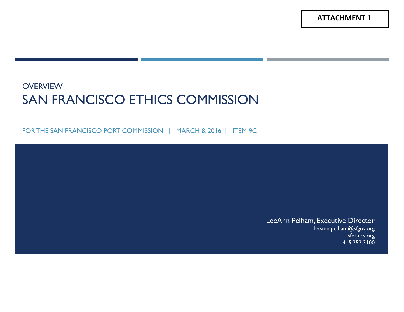**ATTACHMENT 1**

#### **OVERVIEW** SAN FRANCISCO ETHICS COMMISSION

FOR THE SAN FRANCISCO PORT COMMISSION | MARCH 8, 2016 | ITEM 9C

LeeAnn Pelham, Executive Director leeann.pelham@sfgov.org sfethics.org 415.252.3100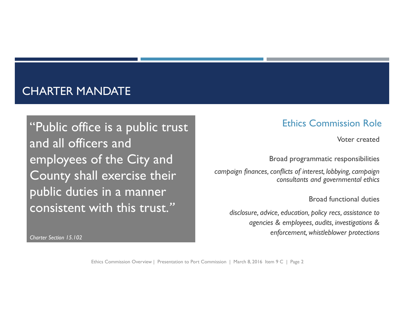#### CHARTER MANDATE

"Public office is a public trust and all officers and employees of the City and County shall exercise their public duties in a manner consistent with this trust.*"*

*Charter Section 15.102*

#### Ethics Commission Role

Voter created

Broad programmatic responsibilities

*campaign finances, conflicts of interest, lobbying, campaign consultants and governmental ethics*

Broad functional duties

*disclosure, advice, education, policy recs, assistance to agencies & employees, audits, investigations & enforcement, whistleblower protections*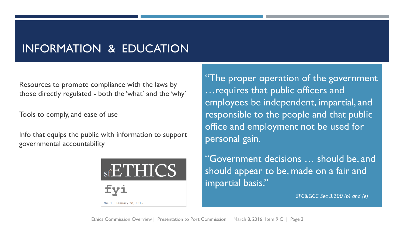# INFORMATION & EDUCATION

Resources to promote compliance with the laws by those directly regulated - both the 'what' and the 'why'

Tools to comply, and ease of use

Info that equips the public with information to support governmental accountability



"The proper operation of the government …requires that public officers and employees be independent, impartial, and responsible to the people and that public office and employment not be used for personal gain.

"Government decisions … should be, and should appear to be, made on a fair and impartial basis."

*SFC&GCC Sec 3.200 (b) and (e)*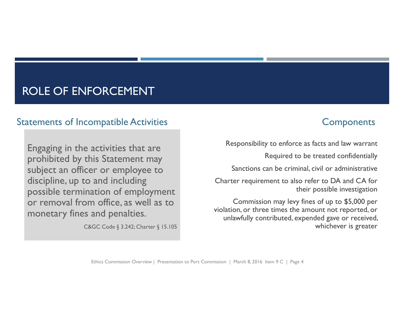## ROLE OF ENFORCEMENT

#### Statements of Incompatible Activities **Statements** Components

Engaging in the activities that are prohibited by this Statement may subject an officer or employee to discipline, up to and including possible termination of employment or removal from office, as well as to monetary fines and penalties.

C&GC Code § 3.242; Charter § 15.105

Responsibility to enforce as facts and law warrant

Required to be treated confidentially

Sanctions can be criminal, civil or administrative

Charter requirement to also refer to DA and CA for their possible investigation

Commission may levy fines of up to \$5,000 per violation, or three times the amount not reported, or unlawfully contributed, expended gave or received, whichever is greater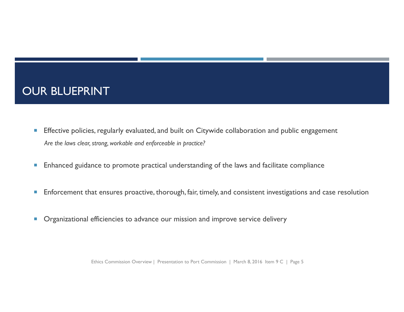### OUR BLUEPRINT

- $\overline{\phantom{a}}$  Effective policies, regularly evaluated, and built on Citywide collaboration and public engagement *Are the laws clear, strong, workable and enforceable in practice?*
- $\overline{\phantom{a}}$ Enhanced guidance to promote practical understanding of the laws and facilitate compliance
- $\overline{\phantom{a}}$ Enforcement that ensures proactive, thorough, fair, timely, and consistent investigations and case resolution
- $\mathcal{C}$ Organizational efficiencies to advance our mission and improve service delivery